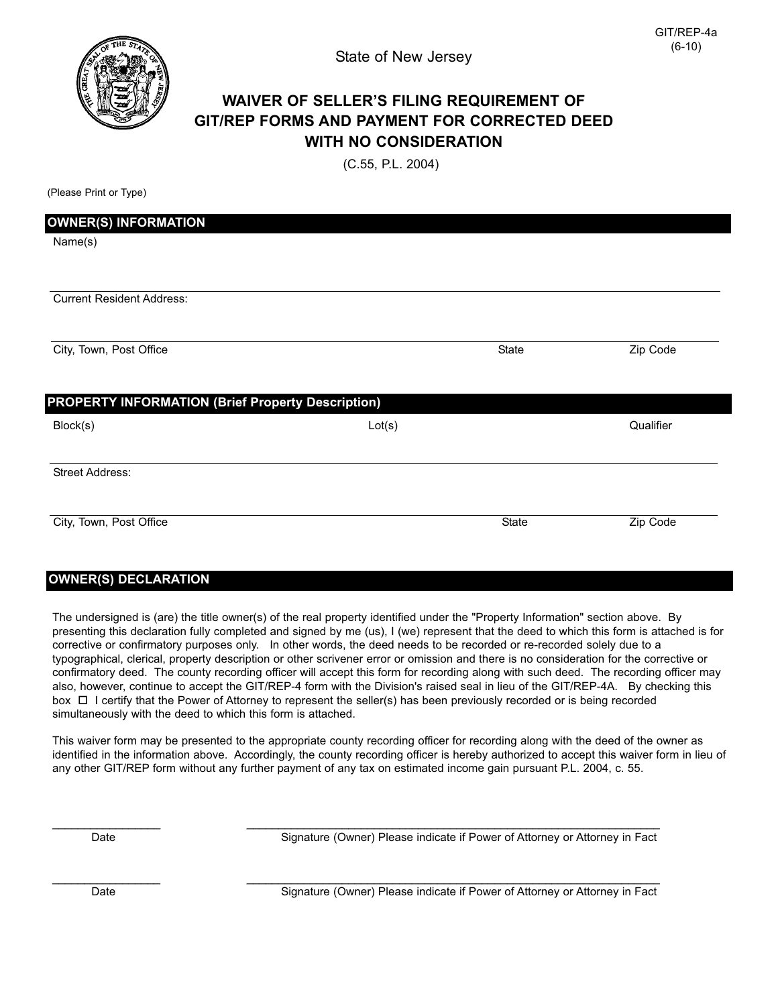

## **WAIVER OF SELLER'S FILING REQUIREMENT OF GIT/REP FORMS AND PAYMENT FOR CORRECTED DEED WITH NO CONSIDERATION**

(C.55, P.L. 2004)

(Please Print or Type)

| <b>OWNER(S) INFORMATION</b>                              |        |       |           |
|----------------------------------------------------------|--------|-------|-----------|
| Name(s)                                                  |        |       |           |
|                                                          |        |       |           |
| <b>Current Resident Address:</b>                         |        |       |           |
| City, Town, Post Office                                  |        | State | Zip Code  |
| <b>PROPERTY INFORMATION (Brief Property Description)</b> |        |       |           |
| Block(s)                                                 | Lot(s) |       | Qualifier |
| <b>Street Address:</b>                                   |        |       |           |
|                                                          |        |       |           |

## **OWNER(S) DECLARATION**

The undersigned is (are) the title owner(s) of the real property identified under the "Property Information" section above. By presenting this declaration fully completed and signed by me (us), I (we) represent that the deed to which this form is attached is for corrective or confirmatory purposes only. In other words, the deed needs to be recorded or re-recorded solely due to a typographical, clerical, property description or other scrivener error or omission and there is no consideration for the corrective or confirmatory deed. The county recording officer will accept this form for recording along with such deed. The recording officer may also, however, continue to accept the GIT/REP-4 form with the Division's raised seal in lieu of the GIT/REP-4A. By checking this box □ I certify that the Power of Attorney to represent the seller(s) has been previously recorded or is being recorded simultaneously with the deed to which this form is attached.

This waiver form may be presented to the appropriate county recording officer for recording along with the deed of the owner as identified in the information above. Accordingly, the county recording officer is hereby authorized to accept this waiver form in lieu of any other GIT/REP form without any further payment of any tax on estimated income gain pursuant P.L. 2004, c. 55.

\_\_\_\_\_\_\_\_\_\_\_\_\_\_\_\_\_ \_\_\_\_\_\_\_\_\_\_\_\_\_\_\_\_\_\_\_\_\_\_\_\_\_\_\_\_\_\_\_\_\_\_\_\_\_\_\_\_\_\_\_\_\_\_\_\_\_\_\_\_\_\_\_\_\_\_\_\_\_\_\_\_\_

\_\_\_\_\_\_\_\_\_\_\_\_\_\_\_\_\_ \_\_\_\_\_\_\_\_\_\_\_\_\_\_\_\_\_\_\_\_\_\_\_\_\_\_\_\_\_\_\_\_\_\_\_\_\_\_\_\_\_\_\_\_\_\_\_\_\_\_\_\_\_\_\_\_\_\_\_\_\_\_\_\_\_

Date **Signature (Owner) Please indicate if Power of Attorney or Attorney in Fact** 

Date **Signature (Owner) Please indicate if Power of Attorney or Attorney in Fact**